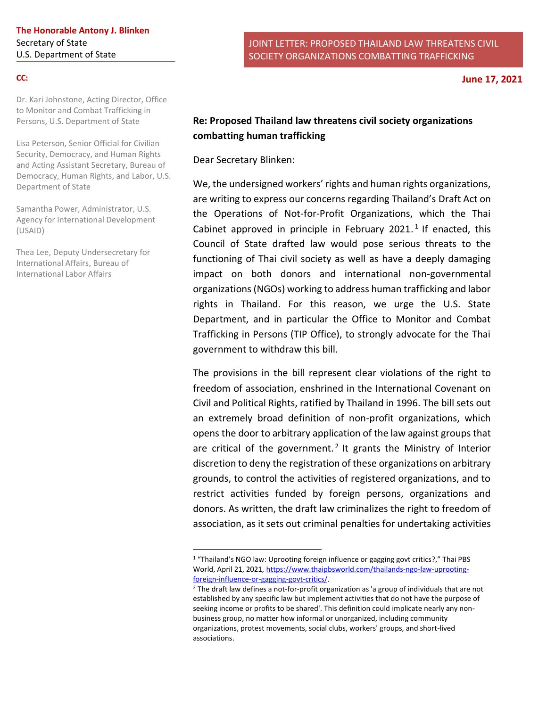#### **CC:**

Dr. Kari Johnstone, Acting Director, Office to Monitor and Combat Trafficking in Persons, U.S. Department of State

Lisa Peterson, Senior Official for Civilian Security, Democracy, and Human Rights and Acting Assistant Secretary, Bureau of Democracy, Human Rights, and Labor, U.S. Department of State

Samantha Power, Administrator, U.S. Agency for International Development (USAID)

Thea Lee, Deputy Undersecretary for International Affairs, Bureau of International Labor Affairs

# **Re: Proposed Thailand law threatens civil society organizations combatting human trafficking**

Dear Secretary Blinken:

We, the undersigned workers' rights and human rights organizations, are writing to express our concerns regarding Thailand's Draft Act on the Operations of Not-for-Profit Organizations, which the Thai Cabinet approved in principle in February 2021.<sup>1</sup> If enacted, this Council of State drafted law would pose serious threats to the functioning of Thai civil society as well as have a deeply damaging impact on both donors and international non-governmental organizations (NGOs) working to address human trafficking and labor rights in Thailand. For this reason, we urge the U.S. State Department, and in particular the Office to Monitor and Combat Trafficking in Persons (TIP Office), to strongly advocate for the Thai government to withdraw this bill.

The provisions in the bill represent clear violations of the right to freedom of association, enshrined in the International Covenant on Civil and Political Rights, ratified by Thailand in 1996. The bill sets out an extremely broad definition of non-profit organizations, which opens the door to arbitrary application of the law against groups that are critical of the government.<sup>2</sup> It grants the Ministry of Interior discretion to deny the registration of these organizations on arbitrary grounds, to control the activities of registered organizations, and to restrict activities funded by foreign persons, organizations and donors. As written, the draft law criminalizes the right to freedom of association, as it sets out criminal penalties for undertaking activities

<sup>1</sup> "Thailand's NGO law: Uprooting foreign influence or gagging govt critics?," Thai PBS World, April 21, 2021, [https://www.thaipbsworld.com/thailands-ngo-law-uprooting](https://www.thaipbsworld.com/thailands-ngo-law-uprooting-foreign-influence-or-gagging-govt-critics/)[foreign-influence-or-gagging-govt-critics/.](https://www.thaipbsworld.com/thailands-ngo-law-uprooting-foreign-influence-or-gagging-govt-critics/)

<sup>2</sup> The draft law defines a not-for-profit organization as 'a group of individuals that are not established by any specific law but implement activities that do not have the purpose of seeking income or profits to be shared'. This definition could implicate nearly any nonbusiness group, no matter how informal or unorganized, including community organizations, protest movements, social clubs, workers' groups, and short-lived associations.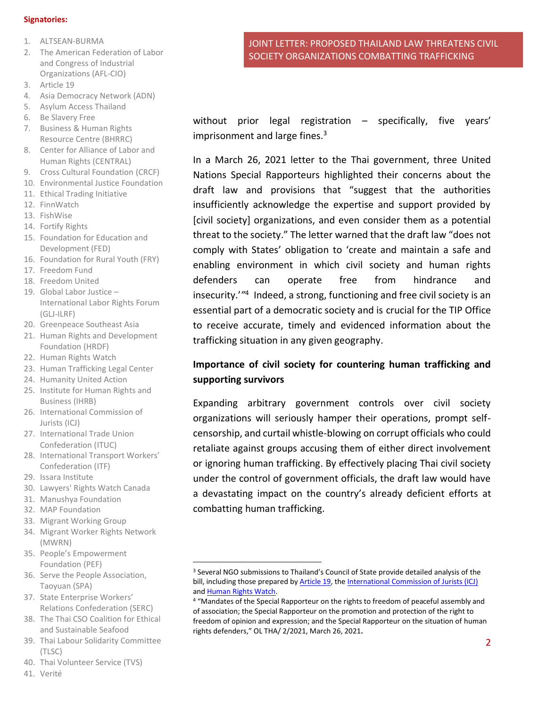#### **Signatories:**

- 1. ALTSEAN-BURMA
- 2. The American Federation of Labor and Congress of Industrial Organizations (AFL-CIO)
- 3. Article 19
- 4. Asia Democracy Network (ADN)
- 5. Asylum Access Thailand
- 6. Be Slavery Free
- 7. Business & Human Rights Resource Centre (BHRRC)
- 8. Center for Alliance of Labor and Human Rights (CENTRAL)
- 9. Cross Cultural Foundation (CRCF)
- 10. Environmental Justice Foundation
- 11. Ethical Trading Initiative
- 12. FinnWatch
- 13. FishWise
- 14. Fortify Rights
- 15. Foundation for Education and Development (FED)
- 16. Foundation for Rural Youth (FRY)
- 17. Freedom Fund
- 18. Freedom United
- 19. Global Labor Justice International Labor Rights Forum (GLJ-ILRF)
- 20. Greenpeace Southeast Asia
- 21. Human Rights and Development Foundation (HRDF)
- 22. Human Rights Watch
- 23. Human Trafficking Legal Center
- 24. Humanity United Action
- 25. Institute for Human Rights and Business (IHRB)
- 26. International Commission of Jurists (ICJ)
- 27. International Trade Union Confederation (ITUC)
- 28. International Transport Workers' Confederation (ITF)
- 29. Issara Institute
- 30. Lawyers' Rights Watch Canada
- 31. Manushya Foundation
- 32. MAP Foundation
- 33. Migrant Working Group
- 34. Migrant Worker Rights Network (MWRN)
- 35. People's Empowerment Foundation (PEF)
- 36. Serve the People Association, Taoyuan (SPA)
- 37. State Enterprise Workers' Relations Confederation (SERC)
- 38. The Thai CSO Coalition for Ethical and Sustainable Seafood
- 39. Thai Labour Solidarity Committee (TLSC)
- 40. Thai Volunteer Service (TVS)
- 41. Verité

JOINT LETTER: PROPOSED THAILAND LAW THREATENS CIVIL SOCIETY ORGANIZATIONS COMBATTING TRAFFICKING

without prior legal registration – specifically, five years' imprisonment and large fines. $3$ 

In a March 26, 2021 letter to the Thai government, three United Nations Special Rapporteurs highlighted their concerns about the draft law and provisions that "suggest that the authorities insufficiently acknowledge the expertise and support provided by [civil society] organizations, and even consider them as a potential threat to the society." The letter warned that the draft law "does not comply with States' obligation to 'create and maintain a safe and enabling environment in which civil society and human rights defenders can operate free from hindrance and insecurity.'<sup>''4</sup> Indeed, a strong, functioning and free civil society is an essential part of a democratic society and is crucial for the TIP Office to receive accurate, timely and evidenced information about the trafficking situation in any given geography.

# **Importance of civil society for countering human trafficking and supporting survivors**

Expanding arbitrary government controls over civil society organizations will seriously hamper their operations, prompt selfcensorship, and curtail whistle-blowing on corrupt officials who could retaliate against groups accusing them of either direct involvement or ignoring human trafficking. By effectively placing Thai civil society under the control of government officials, the draft law would have a devastating impact on the country's already deficient efforts at combatting human trafficking.

<sup>3</sup> Several NGO submissions to Thailand's Council of State provide detailed analysis of the bill, including those prepared b[y Article 19,](https://www.article19.org/wp-content/uploads/2021/04/ARTICLE-19-submission-NGO-Law.pdf) the [International Commission of Jurists \(ICJ\)](https://www.icj.org/thailand-repressive-draft-law-on-the-operation-of-not-for-profit-organizations-must-be-revised-or-scrapped/) and [Human Rights Watch.](https://www.hrw.org/news/2021/03/30/letter-thailand-office-council-state-re-proposed-law-not-profit-organizations)

<sup>&</sup>lt;sup>4</sup> "Mandates of the Special Rapporteur on the rights to freedom of peaceful assembly and of association; the Special Rapporteur on the promotion and protection of the right to freedom of opinion and expression; and the Special Rapporteur on the situation of human rights defenders," OL THA/ 2/2021, March 26, 2021**.**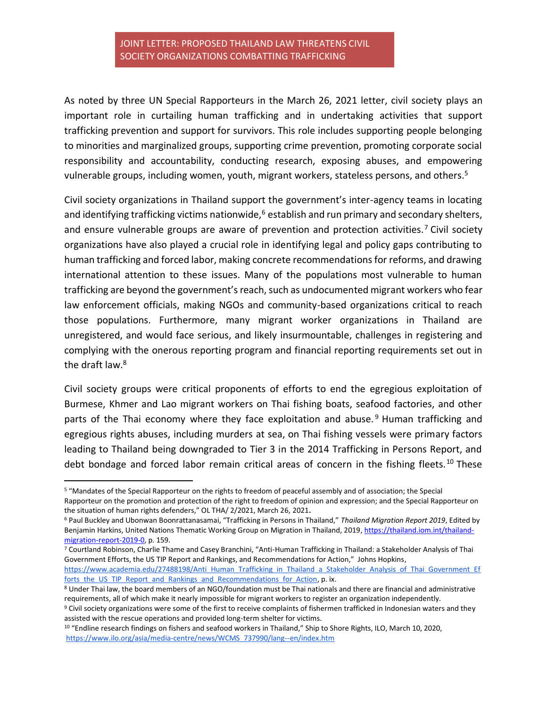As noted by three UN Special Rapporteurs in the March 26, 2021 letter, civil society plays an important role in curtailing human trafficking and in undertaking activities that support trafficking prevention and support for survivors. This role includes supporting people belonging to minorities and marginalized groups, supporting crime prevention, promoting corporate social responsibility and accountability, conducting research, exposing abuses, and empowering vulnerable groups, including women, youth, migrant workers, stateless persons, and others.<sup>5</sup>

Civil society organizations in Thailand support the government's inter-agency teams in locating and identifying trafficking victims nationwide, $6$  establish and run primary and secondary shelters, and ensure vulnerable groups are aware of prevention and protection activities.<sup>7</sup> Civil society organizations have also played a crucial role in identifying legal and policy gaps contributing to human trafficking and forced labor, making concrete recommendations for reforms, and drawing international attention to these issues. Many of the populations most vulnerable to human trafficking are beyond the government's reach, such as undocumented migrant workers who fear law enforcement officials, making NGOs and community-based organizations critical to reach those populations. Furthermore, many migrant worker organizations in Thailand are unregistered, and would face serious, and likely insurmountable, challenges in registering and complying with the onerous reporting program and financial reporting requirements set out in the draft law.<sup>8</sup>

Civil society groups were critical proponents of efforts to end the egregious exploitation of Burmese, Khmer and Lao migrant workers on Thai fishing boats, seafood factories, and other parts of the Thai economy where they face exploitation and abuse.<sup>9</sup> Human trafficking and egregious rights abuses, including murders at sea, on Thai fishing vessels were primary factors leading to Thailand being downgraded to Tier 3 in the 2014 Trafficking in Persons Report, and debt bondage and forced labor remain critical areas of concern in the fishing fleets.<sup>10</sup> These

<sup>5</sup> "Mandates of the Special Rapporteur on the rights to freedom of peaceful assembly and of association; the Special Rapporteur on the promotion and protection of the right to freedom of opinion and expression; and the Special Rapporteur on the situation of human rights defenders," OL THA/ 2/2021, March 26, 2021**.** 

<sup>6</sup> Paul Buckley and Ubonwan Boonrattanasamai, "Trafficking in Persons in Thailand," *Thailand Migration Report 2019*, Edited by Benjamin Harkins, United Nations Thematic Working Group on Migration in Thailand, 2019, [https://thailand.iom.int/thailand](https://thailand.iom.int/thailand-migration-report-2019-0)[migration-report-2019-0,](https://thailand.iom.int/thailand-migration-report-2019-0) p. 159.

<sup>7</sup> Courtland Robinson, Charlie Thame and Casey Branchini, "Anti-Human Trafficking in Thailand: a Stakeholder Analysis of Thai Government Efforts, the US TIP Report and Rankings, and Recommendations for Action," Johns Hopkins,

[https://www.academia.edu/27488198/Anti\\_Human\\_Trafficking\\_in\\_Thailand\\_a\\_Stakeholder\\_Analysis\\_of\\_Thai\\_Government\\_Ef](https://www.academia.edu/27488198/Anti_Human_Trafficking_in_Thailand_a_Stakeholder_Analysis_of_Thai_Government_Efforts_the_US_TIP_Report_and_Rankings_and_Recommendations_for_Action) [forts\\_the\\_US\\_TIP\\_Report\\_and\\_Rankings\\_and\\_Recommendations\\_for\\_Action,](https://www.academia.edu/27488198/Anti_Human_Trafficking_in_Thailand_a_Stakeholder_Analysis_of_Thai_Government_Efforts_the_US_TIP_Report_and_Rankings_and_Recommendations_for_Action) p. ix.

<sup>8</sup> Under Thai law, the board members of an NGO/foundation must be Thai nationals and there are financial and administrative requirements, all of which make it nearly impossible for migrant workers to register an organization independently.

<sup>9</sup> Civil society organizations were some of the first to receive complaints of fishermen trafficked in Indonesian waters and they assisted with the rescue operations and provided long-term shelter for victims.

<sup>&</sup>lt;sup>10</sup> "Endline research findings on fishers and seafood workers in Thailand," Ship to Shore Rights, ILO, March 10, 2020, [https://www.ilo.org/asia/media-centre/news/WCMS\\_737990/lang--en/index.htm](https://www.ilo.org/asia/media-centre/news/WCMS_737990/lang--en/index.htm)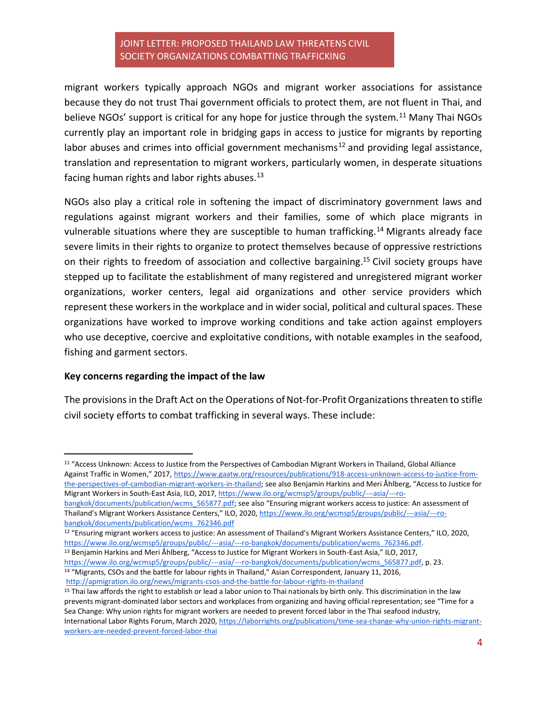migrant workers typically approach NGOs and migrant worker associations for assistance because they do not trust Thai government officials to protect them, are not fluent in Thai, and believe NGOs' support is critical for any hope for justice through the system.<sup>11</sup> Many Thai NGOs currently play an important role in bridging gaps in access to justice for migrants by reporting labor abuses and crimes into official government mechanisms<sup>12</sup> and providing legal assistance, translation and representation to migrant workers, particularly women, in desperate situations facing human rights and labor rights abuses. $^{13}$ 

NGOs also play a critical role in softening the impact of discriminatory government laws and regulations against migrant workers and their families, some of which place migrants in vulnerable situations where they are susceptible to human trafficking.<sup>14</sup> Migrants already face severe limits in their rights to organize to protect themselves because of oppressive restrictions on their rights to freedom of association and collective bargaining.<sup>15</sup> Civil society groups have stepped up to facilitate the establishment of many registered and unregistered migrant worker organizations, worker centers, legal aid organizations and other service providers which represent these workers in the workplace and in wider social, political and cultural spaces. These organizations have worked to improve working conditions and take action against employers who use deceptive, coercive and exploitative conditions, with notable examples in the seafood, fishing and garment sectors.

#### **Key concerns regarding the impact of the law**

The provisions in the Draft Act on the Operations of Not-for-Profit Organizations threaten to stifle civil society efforts to combat trafficking in several ways. These include:

Migrant Workers in South-East Asia, ILO, 2017, [https://www.ilo.org/wcmsp5/groups/public/---asia/---ro](https://www.ilo.org/wcmsp5/groups/public/---asia/---ro-bangkok/documents/publication/wcms_565877.pdf)[bangkok/documents/publication/wcms\\_565877.pdf](https://www.ilo.org/wcmsp5/groups/public/---asia/---ro-bangkok/documents/publication/wcms_565877.pdf); see also "Ensuring migrant workers access to justice: An assessment of Thailand's Migrant Workers Assistance Centers," ILO, 2020, [https://www.ilo.org/wcmsp5/groups/public/---asia/---ro](https://www.ilo.org/wcmsp5/groups/public/---asia/---ro-bangkok/documents/publication/wcms_762346.pdf)[bangkok/documents/publication/wcms\\_762346.pdf](https://www.ilo.org/wcmsp5/groups/public/---asia/---ro-bangkok/documents/publication/wcms_762346.pdf)

<sup>12</sup> "Ensuring migrant workers access to justice: An assessment of Thailand's Migrant Workers Assistance Centers," ILO, 2020, [https://www.ilo.org/wcmsp5/groups/public/---asia/---ro-bangkok/documents/publication/wcms\\_762346.pdf.](https://www.ilo.org/wcmsp5/groups/public/---asia/---ro-bangkok/documents/publication/wcms_762346.pdf)

<sup>13</sup> Benjamin Harkins and Meri Åhlberg, "Access to Justice for Migrant Workers in South-East Asia," ILO, 2017, [https://www.ilo.org/wcmsp5/groups/public/---asia/---ro-bangkok/documents/publication/wcms\\_565877.pdf,](https://www.ilo.org/wcmsp5/groups/public/---asia/---ro-bangkok/documents/publication/wcms_565877.pdf) p. 23. <sup>14</sup> "Migrants, CSOs and the battle for labour rights in Thailand," Asian Correspondent, January 11, 2016,

<http://apmigration.ilo.org/news/migrants-csos-and-the-battle-for-labour-rights-in-thailand>

<sup>11</sup> "Access Unknown: Access to Justice from the Perspectives of Cambodian Migrant Workers in Thailand, Global Alliance Against Traffic in Women," 2017, [https://www.gaatw.org/resources/publications/918-access-unknown-access-to-justice-from](https://www.gaatw.org/resources/publications/918-access-unknown-access-to-justice-from-the-perspectives-of-cambodian-migrant-workers-in-thailand)[the-perspectives-of-cambodian-migrant-workers-in-thailand](https://www.gaatw.org/resources/publications/918-access-unknown-access-to-justice-from-the-perspectives-of-cambodian-migrant-workers-in-thailand); see also Benjamin Harkins and Meri Åhlberg, "Access to Justice for

<sup>&</sup>lt;sup>15</sup> Thai law affords the right to establish or lead a labor union to Thai nationals by birth only. This discrimination in the law prevents migrant-dominated labor sectors and workplaces from organizing and having official representation; see "Time for a Sea Change: Why union rights for migrant workers are needed to prevent forced labor in the Thai seafood industry, International Labor Rights Forum, March 2020[, https://laborrights.org/publications/time-sea-change-why-union-rights-migrant](https://laborrights.org/publications/time-sea-change-why-union-rights-migrant-workers-are-needed-prevent-forced-labor-thai)[workers-are-needed-prevent-forced-labor-thai](https://laborrights.org/publications/time-sea-change-why-union-rights-migrant-workers-are-needed-prevent-forced-labor-thai)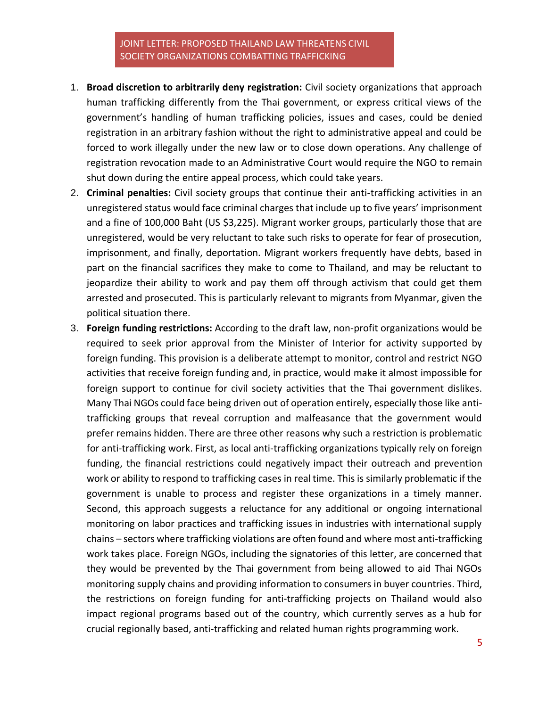- 1. **Broad discretion to arbitrarily deny registration:** Civil society organizations that approach human trafficking differently from the Thai government, or express critical views of the government's handling of human trafficking policies, issues and cases, could be denied registration in an arbitrary fashion without the right to administrative appeal and could be forced to work illegally under the new law or to close down operations. Any challenge of registration revocation made to an Administrative Court would require the NGO to remain shut down during the entire appeal process, which could take years.
- 2. **Criminal penalties:** Civil society groups that continue their anti-trafficking activities in an unregistered status would face criminal charges that include up to five years' imprisonment and a fine of 100,000 Baht (US \$3,225). Migrant worker groups, particularly those that are unregistered, would be very reluctant to take such risks to operate for fear of prosecution, imprisonment, and finally, deportation. Migrant workers frequently have debts, based in part on the financial sacrifices they make to come to Thailand, and may be reluctant to jeopardize their ability to work and pay them off through activism that could get them arrested and prosecuted. This is particularly relevant to migrants from Myanmar, given the political situation there.
- 3. **Foreign funding restrictions:** According to the draft law, non-profit organizations would be required to seek prior approval from the Minister of Interior for activity supported by foreign funding. This provision is a deliberate attempt to monitor, control and restrict NGO activities that receive foreign funding and, in practice, would make it almost impossible for foreign support to continue for civil society activities that the Thai government dislikes. Many Thai NGOs could face being driven out of operation entirely, especially those like antitrafficking groups that reveal corruption and malfeasance that the government would prefer remains hidden. There are three other reasons why such a restriction is problematic for anti-trafficking work. First, as local anti-trafficking organizations typically rely on foreign funding, the financial restrictions could negatively impact their outreach and prevention work or ability to respond to trafficking cases in real time. This is similarly problematic if the government is unable to process and register these organizations in a timely manner. Second, this approach suggests a reluctance for any additional or ongoing international monitoring on labor practices and trafficking issues in industries with international supply chains – sectors where trafficking violations are often found and where most anti-trafficking work takes place. Foreign NGOs, including the signatories of this letter, are concerned that they would be prevented by the Thai government from being allowed to aid Thai NGOs monitoring supply chains and providing information to consumers in buyer countries. Third, the restrictions on foreign funding for anti-trafficking projects on Thailand would also impact regional programs based out of the country, which currently serves as a hub for crucial regionally based, anti-trafficking and related human rights programming work.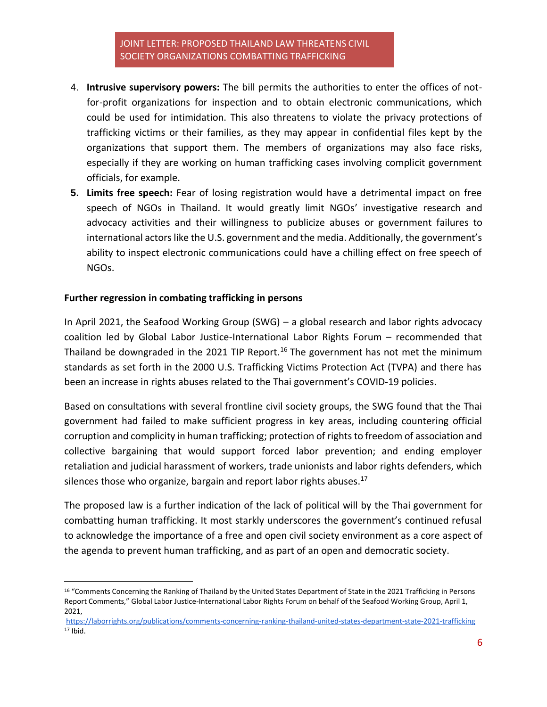- 4. **Intrusive supervisory powers:** The bill permits the authorities to enter the offices of notfor-profit organizations for inspection and to obtain electronic communications, which could be used for intimidation. This also threatens to violate the privacy protections of trafficking victims or their families, as they may appear in confidential files kept by the organizations that support them. The members of organizations may also face risks, especially if they are working on human trafficking cases involving complicit government officials, for example.
- **5. Limits free speech:** Fear of losing registration would have a detrimental impact on free speech of NGOs in Thailand. It would greatly limit NGOs' investigative research and advocacy activities and their willingness to publicize abuses or government failures to international actors like the U.S. government and the media. Additionally, the government's ability to inspect electronic communications could have a chilling effect on free speech of NGOs.

#### **Further regression in combating trafficking in persons**

In April 2021, the Seafood Working Group (SWG) – a global research and labor rights advocacy coalition led by Global Labor Justice-International Labor Rights Forum – recommended that Thailand be downgraded in the 2021 TIP Report.<sup>16</sup> The government has not met the minimum standards as set forth in the 2000 U.S. Trafficking Victims Protection Act (TVPA) and there has been an increase in rights abuses related to the Thai government's COVID-19 policies.

Based on consultations with several frontline civil society groups, the SWG found that the Thai government had failed to make sufficient progress in key areas, including countering official corruption and complicity in human trafficking; protection of rights to freedom of association and collective bargaining that would support forced labor prevention; and ending employer retaliation and judicial harassment of workers, trade unionists and labor rights defenders, which silences those who organize, bargain and report labor rights abuses. $17$ 

The proposed law is a further indication of the lack of political will by the Thai government for combatting human trafficking. It most starkly underscores the government's continued refusal to acknowledge the importance of a free and open civil society environment as a core aspect of the agenda to prevent human trafficking, and as part of an open and democratic society.

<sup>16</sup> "Comments Concerning the Ranking of Thailand by the United States Department of State in the 2021 Trafficking in Persons Report Comments," Global Labor Justice-International Labor Rights Forum on behalf of the Seafood Working Group, April 1, 2021,

<https://laborrights.org/publications/comments-concerning-ranking-thailand-united-states-department-state-2021-trafficking> <sup>17</sup> Ibid.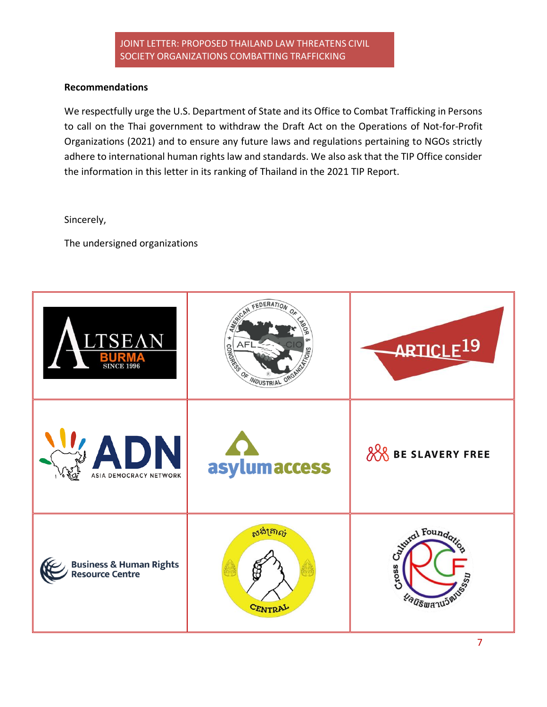#### **Recommendations**

We respectfully urge the U.S. Department of State and its Office to Combat Trafficking in Persons to call on the Thai government to withdraw the Draft Act on the Operations of Not-for-Profit Organizations (2021) and to ensure any future laws and regulations pertaining to NGOs strictly adhere to international human rights law and standards. We also ask that the TIP Office consider the information in this letter in its ranking of Thailand in the 2021 TIP Report.

Sincerely,

The undersigned organizations

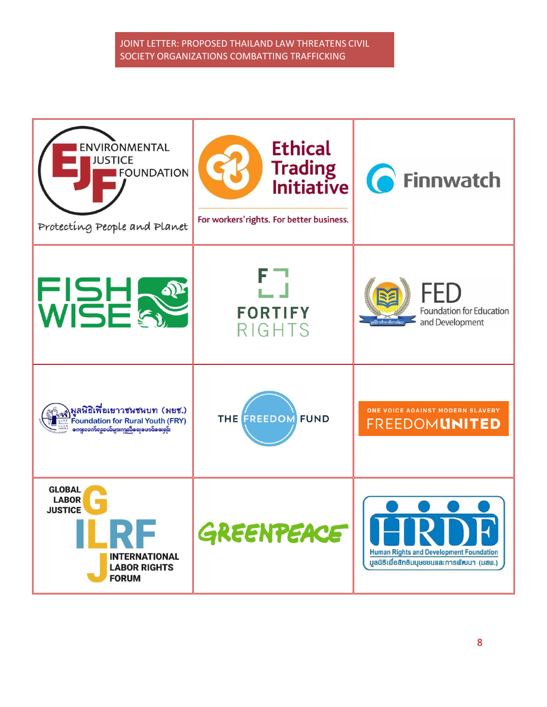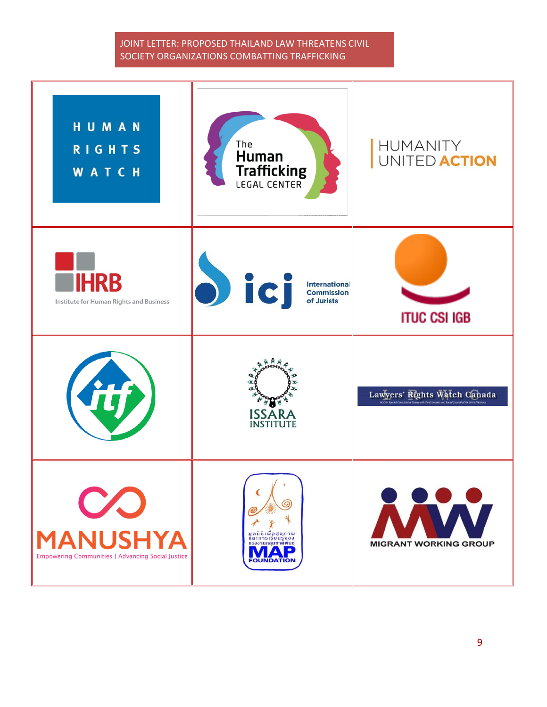